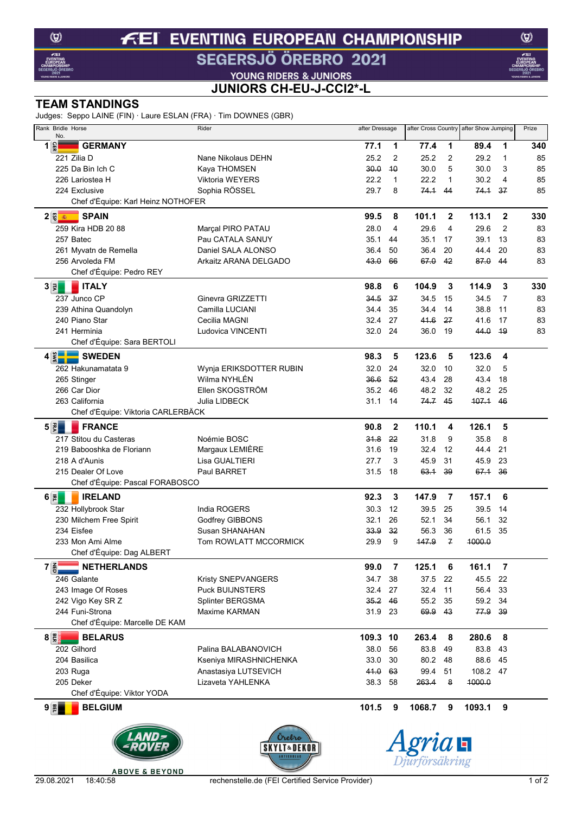### **EVENTING EUROPEAN CHAMPIONSHIP**  $f(E)$ SEGERSJÖ ÖREBRO 2021

**VOUNG RIDERS & JUNIORS<br>JUNIORS CH-EU-J-CCI2\*-L** 

## **TEAM STANDINGS**

Judges: Seppo LAINE (FIN) · Laure ESLAN (FRA) · Tim DOWNES (GBR)

| Rank Bridle Horse<br>No.                               | Rider                   |          | after Dressage |         | after Cross Country | after Show Jumping |                  | Prize |  |
|--------------------------------------------------------|-------------------------|----------|----------------|---------|---------------------|--------------------|------------------|-------|--|
| $1\frac{6}{5}$<br><b>GERMANY</b>                       |                         | 77.1     | 1              | 77.4    | 1                   | 89.4               | $\mathbf{1}$     | 340   |  |
| 221 Zilia D                                            | Nane Nikolaus DEHN      | 25.2     | 2              | 25.2    | 2                   | 29.2               | 1                | 85    |  |
| 225 Da Bin Ich C                                       | Kaya THOMSEN            | 30.0     | 40             | 30.0    | 5                   | 30.0               | 3                | 85    |  |
| 226 Lariostea H                                        | Viktoria WEYERS         | 22.2     | $\mathbf{1}$   | 22.2    | 1                   | 30.2               | 4                | 85    |  |
| 224 Exclusive                                          | Sophia RÖSSEL           | 29.7     | 8              | 74.1    | 44                  | 74.1               | 37               | 85    |  |
| Chef d'Équipe: Karl Heinz NOTHOFER                     |                         |          |                |         |                     |                    |                  |       |  |
| $2\sqrt{\frac{m}{2}}$<br><b>SPAIN</b>                  |                         | 99.5     | 8              | 101.1   | $\mathbf{2}$        | 113.1              | $\boldsymbol{2}$ | 330   |  |
| 259 Kira HDB 20 88                                     | Marçal PIRO PATAU       | 28.0     | 4              | 29.6    | 4                   | 29.6               | $\overline{2}$   | 83    |  |
| 257 Batec                                              | Pau CATALA SANUY        | 35.1     | 44             | 35.1    | 17                  | 39.1               | 13               | 83    |  |
| 261 Myvatn de Remella                                  | Daniel SALA ALONSO      | 36.4     | 50             | 36.4    | 20                  | 44.4               | 20               | 83    |  |
| 256 Arvoleda FM                                        | Arkaitz ARANA DELGADO   | 43.0     | 66             | 67.0    | 42                  | 87.0               | 44               | 83    |  |
| Chef d'Équipe: Pedro REY                               |                         |          |                |         |                     |                    |                  |       |  |
| $3 \vert \vec{x} \vert$<br><b>ITALY</b>                |                         | 98.8     | 6              | 104.9   | 3                   | 114.9              | 3                | 330   |  |
| 237 Junco CP                                           | Ginevra GRIZZETTI       | 34.5     | 37             | 34.5    | 15                  | 34.5               | 7                | 83    |  |
| 239 Athina Quandolyn                                   | Camilla LUCIANI         | 34.4     | 35             | 34.4    | 14                  | 38.8               | 11               | 83    |  |
| 240 Piano Star                                         | Cecilia MAGNI           | 32.4     | 27             | 41.6    | 27                  | 41.6               | 17               | 83    |  |
| 241 Herminia                                           | Ludovica VINCENTI       | 32.0     | 24             | 36.0    | 19                  | 44.0               | <sup>49</sup>    | 83    |  |
| Chef d'Équipe: Sara BERTOLI                            |                         |          |                |         |                     |                    |                  |       |  |
| $4 \times 7$<br><b>SWEDEN</b>                          |                         | 98.3     | 5              | 123.6   | 5                   | 123.6              | 4                |       |  |
| 262 Hakunamatata 9                                     | Wynja ERIKSDOTTER RUBIN | 32.0     | 24             | 32.0    | 10                  | 32.0               | 5                |       |  |
| 265 Stinger                                            | Wilma NYHLÉN            | 36.6     | 52             | 43.4    | 28                  | 43.4               | 18               |       |  |
| 266 Car Dior                                           | Ellen SKOGSTRÖM         | 35.2     | 46             | 48.2    | 32                  | 48.2               | 25               |       |  |
| 263 California                                         | Julia LIDBECK           | 31.1 14  |                | 74.7 45 |                     | 107.1              | 46               |       |  |
| Chef d'Équipe: Viktoria CARLERBÄCK                     |                         |          |                |         |                     |                    |                  |       |  |
| $5\overline{5}$<br><b>FRANCE</b>                       |                         | 90.8     | $\mathbf{2}$   | 110.1   | 4                   | 126.1              | 5                |       |  |
| 217 Stitou du Casteras                                 | Noémie BOSC             | 31.8     | 22             | 31.8    | 9                   | 35.8               | 8                |       |  |
| 219 Babooshka de Floriann                              | Margaux LEMIÈRE         | 31.6     | 19             | 32.4    | 12                  | 44.4               | 21               |       |  |
| 218 A d'Aunis                                          | Lisa GUALTIERI          | 27.7     | 3              | 45.9    | 31                  | 45.9               | 23               |       |  |
| 215 Dealer Of Love                                     | Paul BARRET             | 31.5     | 18             | 63.1    | 39                  | 67.1               | 36               |       |  |
| Chef d'Équipe: Pascal FORABOSCO                        |                         |          |                |         |                     |                    |                  |       |  |
| <b>IRELAND</b><br>$6 \bar{z} $                         |                         | 92.3     | 3              | 147.9   | 7                   | 157.1              | 6                |       |  |
| 232 Hollybrook Star                                    | India ROGERS            | 30.3     | 12             | 39.5    | 25                  | 39.5               | 14               |       |  |
| 230 Milchem Free Spirit                                | Godfrey GIBBONS         | 32.1     | 26             | 52.1    | 34                  | 56.1               | 32               |       |  |
| 234 Eisfee                                             | Susan SHANAHAN          | 33.9     | 32             | 56.3    | 36                  | 61.5               | 35               |       |  |
| 233 Mon Ami Alme                                       | Tom ROWLATT MCCORMICK   | 29.9     | 9              | 147.9   | $\overline{f}$      | 1000.0             |                  |       |  |
| Chef d'Équipe: Dag ALBERT                              |                         |          |                |         |                     |                    |                  |       |  |
| $7\frac{2}{9}$<br><b>NETHERLANDS</b>                   |                         | 99.0     | 7              | 125.1   | 6                   | 161.1              | $\overline{7}$   |       |  |
| 246 Galante                                            | Kristy SNEPVANGERS      | 34.7     | 38             | 37.5    | 22                  | 45.5               | 22               |       |  |
| 243 Image Of Roses                                     | <b>Puck BUIJNSTERS</b>  | 32.4     | 27             | 32.4    | 11                  | 56.4               | 33               |       |  |
| 242 Vigo Key SR Z                                      | Splinter BERGSMA        | 35.2     | 46             | 55.2    | 35                  | 59.2               | -34              |       |  |
| 244 Funi-Strona                                        | Maxime KARMAN           | 31.9     | 23             | 69.9    | 43                  | 77.9               | 39               |       |  |
| Chef d'Équipe: Marcelle DE KAM                         |                         |          |                |         |                     |                    |                  |       |  |
| $8\vert\frac{m}{2}\vert$<br><b>BELARUS</b>             |                         | 109.3 10 |                | 263.4   | 8                   | 280.6              | 8                |       |  |
| 202 Gilhord                                            | Palina BALABANOVICH     | 38.0     | 56             | 83.8    | 49                  | 83.8               | 43               |       |  |
| 204 Basilica                                           | Kseniya MIRASHNICHENKA  | 33.0     | 30             | 80.2    | 48                  | 88.6               | 45               |       |  |
| 203 Ruga                                               | Anastasiya LUTSEVICH    | 41.0     | 63             | 99.4    | 51                  | 108.2 47           |                  |       |  |
| 205 Deker                                              | Lizaveta YAHLENKA       | 38.3     | 58             | 263.4   | 8                   | 1000.0             |                  |       |  |
| Chef d'Équipe: Viktor YODA                             |                         |          |                |         |                     |                    |                  |       |  |
| 9 E <br><b>BELGIUM</b>                                 |                         | 101.5    | 9              | 1068.7  | 9                   | 1093.1             | 9                |       |  |
| Orebro<br>SKYLT&DEK<br><b>AKTIEBOLAC</b><br>torsakring |                         |          |                |         |                     |                    |                  |       |  |

**ABOVE & BEYOND** 

 $\circledcirc$